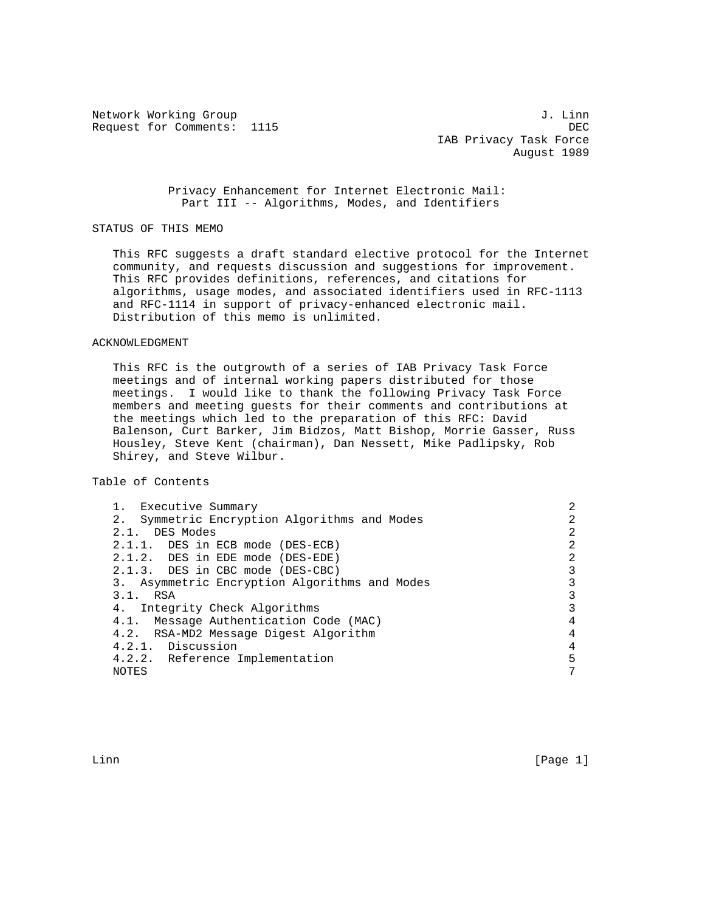Network Working Group 3. 2008 3. 2012 1. John Metwork Working Group 3. 2013 Request for Comments: 1115 DEC

 IAB Privacy Task Force August 1989

 Privacy Enhancement for Internet Electronic Mail: Part III -- Algorithms, Modes, and Identifiers

## STATUS OF THIS MEMO

 This RFC suggests a draft standard elective protocol for the Internet community, and requests discussion and suggestions for improvement. This RFC provides definitions, references, and citations for algorithms, usage modes, and associated identifiers used in RFC-1113 and RFC-1114 in support of privacy-enhanced electronic mail. Distribution of this memo is unlimited.

### ACKNOWLEDGMENT

 This RFC is the outgrowth of a series of IAB Privacy Task Force meetings and of internal working papers distributed for those meetings. I would like to thank the following Privacy Task Force members and meeting guests for their comments and contributions at the meetings which led to the preparation of this RFC: David Balenson, Curt Barker, Jim Bidzos, Matt Bishop, Morrie Gasser, Russ Housley, Steve Kent (chairman), Dan Nessett, Mike Padlipsky, Rob Shirey, and Steve Wilbur.

Table of Contents

| 1. Executive Summary                          |                |
|-----------------------------------------------|----------------|
| 2. Symmetric Encryption Algorithms and Modes  |                |
| 2.1. DES Modes                                | 2              |
| 2.1.1. DES in ECB mode (DES-ECB)              | $\mathfrak{D}$ |
| 2.1.2. DES in EDE mode (DES-EDE)              | 2              |
| 2.1.3. DES in CBC mode (DES-CBC)              | 3              |
| 3. Asymmetric Encryption Algorithms and Modes |                |
| $3.1.$ RSA                                    | २              |
| 4. Integrity Check Algorithms                 | २              |
| 4.1. Message Authentication Code (MAC)        | 4              |
| 4.2. RSA-MD2 Message Digest Algorithm         | 4              |
| 4.2.1. Discussion                             | 4              |
| 4.2.2. Reference Implementation               | 5              |
| NOTES                                         | 7              |
|                                               |                |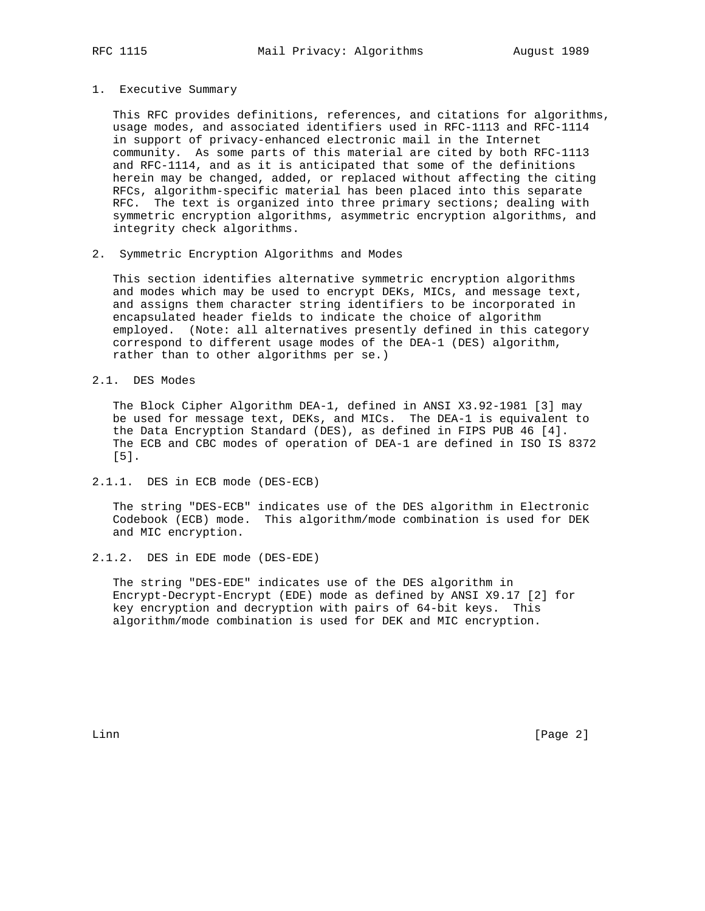#### 1. Executive Summary

 This RFC provides definitions, references, and citations for algorithms, usage modes, and associated identifiers used in RFC-1113 and RFC-1114 in support of privacy-enhanced electronic mail in the Internet community. As some parts of this material are cited by both RFC-1113 and RFC-1114, and as it is anticipated that some of the definitions herein may be changed, added, or replaced without affecting the citing RFCs, algorithm-specific material has been placed into this separate RFC. The text is organized into three primary sections; dealing with symmetric encryption algorithms, asymmetric encryption algorithms, and integrity check algorithms.

2. Symmetric Encryption Algorithms and Modes

 This section identifies alternative symmetric encryption algorithms and modes which may be used to encrypt DEKs, MICs, and message text, and assigns them character string identifiers to be incorporated in encapsulated header fields to indicate the choice of algorithm employed. (Note: all alternatives presently defined in this category correspond to different usage modes of the DEA-1 (DES) algorithm, rather than to other algorithms per se.)

2.1. DES Modes

 The Block Cipher Algorithm DEA-1, defined in ANSI X3.92-1981 [3] may be used for message text, DEKs, and MICs. The DEA-1 is equivalent to the Data Encryption Standard (DES), as defined in FIPS PUB 46 [4]. The ECB and CBC modes of operation of DEA-1 are defined in ISO IS 8372 [5].

2.1.1. DES in ECB mode (DES-ECB)

 The string "DES-ECB" indicates use of the DES algorithm in Electronic Codebook (ECB) mode. This algorithm/mode combination is used for DEK and MIC encryption.

2.1.2. DES in EDE mode (DES-EDE)

 The string "DES-EDE" indicates use of the DES algorithm in Encrypt-Decrypt-Encrypt (EDE) mode as defined by ANSI X9.17 [2] for key encryption and decryption with pairs of 64-bit keys. This algorithm/mode combination is used for DEK and MIC encryption.

Linn [Page 2]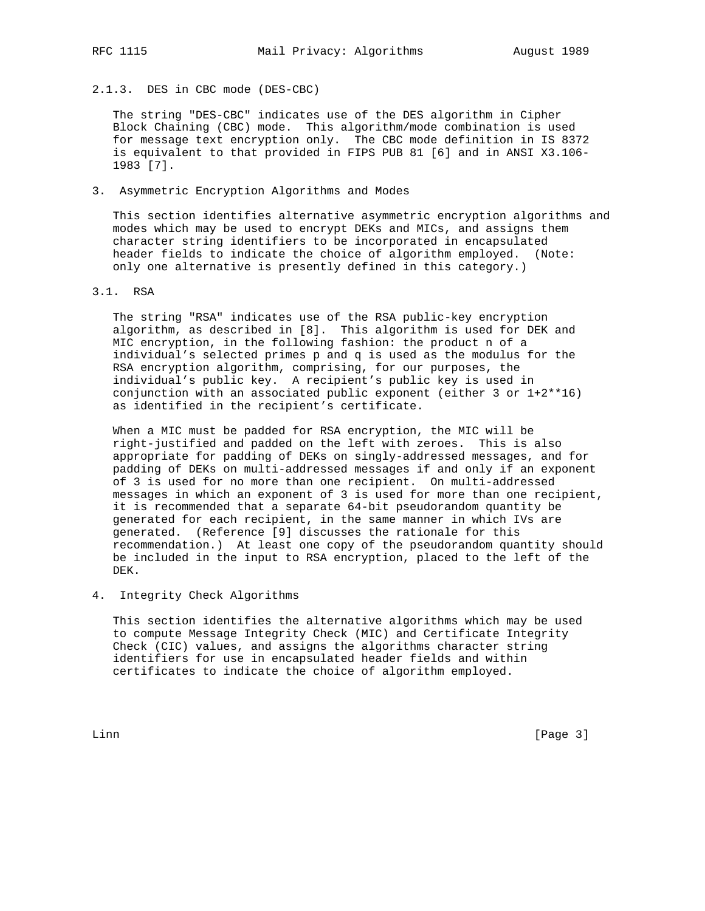2.1.3. DES in CBC mode (DES-CBC)

 The string "DES-CBC" indicates use of the DES algorithm in Cipher Block Chaining (CBC) mode. This algorithm/mode combination is used for message text encryption only. The CBC mode definition in IS 8372 is equivalent to that provided in FIPS PUB 81 [6] and in ANSI X3.106- 1983 [7].

3. Asymmetric Encryption Algorithms and Modes

 This section identifies alternative asymmetric encryption algorithms and modes which may be used to encrypt DEKs and MICs, and assigns them character string identifiers to be incorporated in encapsulated header fields to indicate the choice of algorithm employed. (Note: only one alternative is presently defined in this category.)

3.1. RSA

 The string "RSA" indicates use of the RSA public-key encryption algorithm, as described in [8]. This algorithm is used for DEK and MIC encryption, in the following fashion: the product n of a individual's selected primes p and q is used as the modulus for the RSA encryption algorithm, comprising, for our purposes, the individual's public key. A recipient's public key is used in conjunction with an associated public exponent (either 3 or 1+2\*\*16) as identified in the recipient's certificate.

 When a MIC must be padded for RSA encryption, the MIC will be right-justified and padded on the left with zeroes. This is also appropriate for padding of DEKs on singly-addressed messages, and for padding of DEKs on multi-addressed messages if and only if an exponent of 3 is used for no more than one recipient. On multi-addressed messages in which an exponent of 3 is used for more than one recipient, it is recommended that a separate 64-bit pseudorandom quantity be generated for each recipient, in the same manner in which IVs are generated. (Reference [9] discusses the rationale for this recommendation.) At least one copy of the pseudorandom quantity should be included in the input to RSA encryption, placed to the left of the DEK.

4. Integrity Check Algorithms

 This section identifies the alternative algorithms which may be used to compute Message Integrity Check (MIC) and Certificate Integrity Check (CIC) values, and assigns the algorithms character string identifiers for use in encapsulated header fields and within certificates to indicate the choice of algorithm employed.

Linn [Page 3]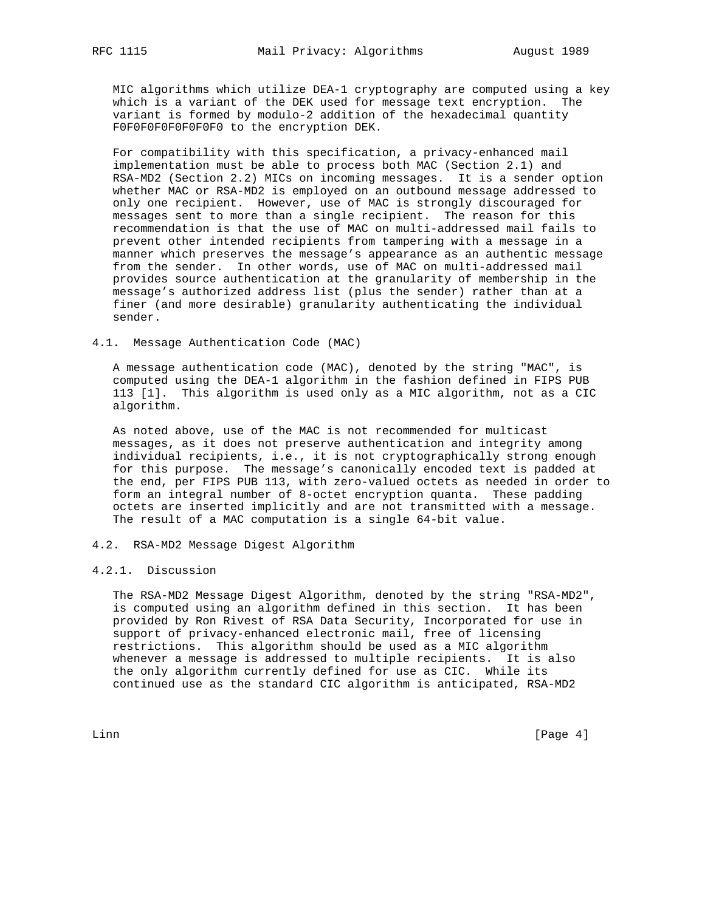MIC algorithms which utilize DEA-1 cryptography are computed using a key which is a variant of the DEK used for message text encryption. The variant is formed by modulo-2 addition of the hexadecimal quantity F0F0F0F0F0F0F0F0 to the encryption DEK.

 For compatibility with this specification, a privacy-enhanced mail implementation must be able to process both MAC (Section 2.1) and RSA-MD2 (Section 2.2) MICs on incoming messages. It is a sender option whether MAC or RSA-MD2 is employed on an outbound message addressed to only one recipient. However, use of MAC is strongly discouraged for messages sent to more than a single recipient. The reason for this recommendation is that the use of MAC on multi-addressed mail fails to prevent other intended recipients from tampering with a message in a manner which preserves the message's appearance as an authentic message from the sender. In other words, use of MAC on multi-addressed mail provides source authentication at the granularity of membership in the message's authorized address list (plus the sender) rather than at a finer (and more desirable) granularity authenticating the individual sender.

4.1. Message Authentication Code (MAC)

 A message authentication code (MAC), denoted by the string "MAC", is computed using the DEA-1 algorithm in the fashion defined in FIPS PUB 113 [1]. This algorithm is used only as a MIC algorithm, not as a CIC algorithm.

 As noted above, use of the MAC is not recommended for multicast messages, as it does not preserve authentication and integrity among individual recipients, i.e., it is not cryptographically strong enough for this purpose. The message's canonically encoded text is padded at the end, per FIPS PUB 113, with zero-valued octets as needed in order to form an integral number of 8-octet encryption quanta. These padding octets are inserted implicitly and are not transmitted with a message. The result of a MAC computation is a single 64-bit value.

# 4.2. RSA-MD2 Message Digest Algorithm

### 4.2.1. Discussion

 The RSA-MD2 Message Digest Algorithm, denoted by the string "RSA-MD2", is computed using an algorithm defined in this section. It has been provided by Ron Rivest of RSA Data Security, Incorporated for use in support of privacy-enhanced electronic mail, free of licensing restrictions. This algorithm should be used as a MIC algorithm whenever a message is addressed to multiple recipients. It is also the only algorithm currently defined for use as CIC. While its continued use as the standard CIC algorithm is anticipated, RSA-MD2

Linn [Page 4]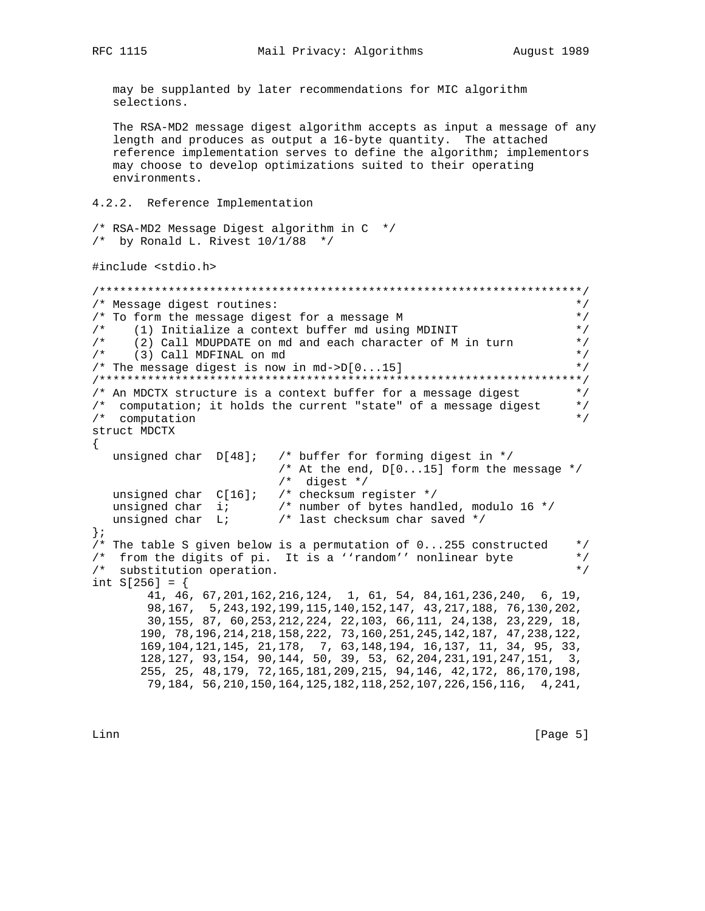may be supplanted by later recommendations for MIC algorithm selections. The RSA-MD2 message digest algorithm accepts as input a message of any length and produces as output a 16-byte quantity. The attached reference implementation serves to define the algorithm; implementors may choose to develop optimizations suited to their operating environments. 4.2.2. Reference Implementation /\* RSA-MD2 Message Digest algorithm in C \*/ /\* by Ronald L. Rivest  $10/1/88$  \*/ #include <stdio.h> /\* Message digest routines:  $\star$  / /\* To form the message digest for a message M  $\star$  / /\* (1) Initialize a context buffer md using MDINIT  $\star$  /  $/$  \*  $\star$  / (2) Call MDUPDATE on md and each character of M in turn  $/*$  (3) Call MDFINAL on md  $\star$  / /\* The message digest is now in md->D[0...15]  $\star$  / /\* An MDCTX structure is a context buffer for a message digest  $\star$  / /\* computation; it holds the current "state" of a message digest<br>/\* computation  $*$  /  $\star$  / struct MDCTX  $\{$ unsigned char D[48]; /\* buffer for forming digest in \*/ /\* At the end,  $D[0...15]$  form the message \*/  $/*$  digest  $*/$ unsigned char  $C[16]$ ; /\* checksum register \*/ unsigned char i; /\* number of bytes handled, modulo 16 \*/ /\* last checksum char saved \*/ unsigned char L;  $\}$  ; /\* The table S given below is a permutation of  $0...255$  constructed  $\star$  / /\* from the digits of pi. It is a ''random'' nonlinear byte  $*$  /  $/*$  substitution operation.  $\star$  / int  $S[256] = \{$ 41, 46, 67, 201, 162, 216, 124, 1, 61, 54, 84, 161, 236, 240, 6, 19, 98, 167, 5, 243, 192, 199, 115, 140, 152, 147, 43, 217, 188, 76, 130, 202, 30, 155, 87, 60, 253, 212, 224, 22, 103, 66, 111, 24, 138, 23, 229, 18, 190, 78, 196, 214, 218, 158, 222, 73, 160, 251, 245, 142, 187, 47, 238, 122, 169, 104, 121, 145, 21, 178, 7, 63, 148, 194, 16, 137, 11, 34, 95, 33, 128, 127, 93, 154, 90, 144, 50, 39, 53, 62, 204, 231, 191, 247, 151, 3, 255, 25, 48, 179, 72, 165, 181, 209, 215, 94, 146, 42, 172, 86, 170, 198, 79, 184, 56, 210, 150, 164, 125, 182, 118, 252, 107, 226, 156, 116, 4, 241,

Linn

 $[Page 5]$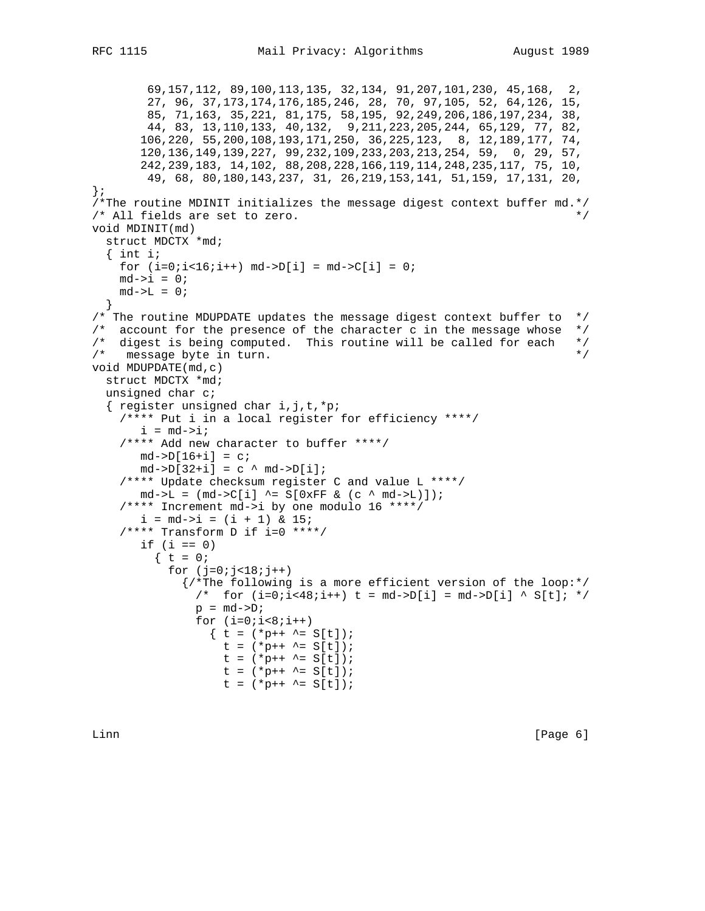```
 69,157,112, 89,100,113,135, 32,134, 91,207,101,230, 45,168, 2,
 27, 96, 37,173,174,176,185,246, 28, 70, 97,105, 52, 64,126, 15,
 85, 71,163, 35,221, 81,175, 58,195, 92,249,206,186,197,234, 38,
        44, 83, 13,110,133, 40,132, 9,211,223,205,244, 65,129, 77, 82,
        106,220, 55,200,108,193,171,250, 36,225,123, 8, 12,189,177, 74,
        120,136,149,139,227, 99,232,109,233,203,213,254, 59, 0, 29, 57,
        242,239,183, 14,102, 88,208,228,166,119,114,248,235,117, 75, 10,
         49, 68, 80,180,143,237, 31, 26,219,153,141, 51,159, 17,131, 20,
};
/*The routine MDINIT initializes the message digest context buffer md.*/
\frac{1}{2} /* All fields are set to zero. */
void MDINIT(md)
  struct MDCTX *md;
  \{ int i;
   for (i=0:i<16:i++) md->D[i] = md->C[i] = 0;md->i = 0;md->L = 0; }
/* The routine MDUPDATE updates the message digest context buffer to */
\frac{1}{2} account for the presence of the character c in the message whose \frac{*}{2}/* digest is being computed. This routine will be called for each */
\frac{1}{x} message byte in turn.
void MDUPDATE(md,c)
  struct MDCTX *md;
  unsigned char c;
   { register unsigned char i,j,t,*p;
     /**** Put i in a local register for efficiency ****/
       i = md->i; /**** Add new character to buffer ****/
      md->D[16+i] = c;md->D[32+i] = c^{\wedge} md->D[i]; /**** Update checksum register C and value L ****/
      md->L = (md->C[i] ^= S[0xFF & (c ^ md->L)]);
     /**** Increment md->i by one modulo 16 ****/
       i = md - > i = (i + 1) \& 15; /**** Transform D if i=0 ****/
       if (i == 0)\{ t = 0;for (j=0; j<18; j++) {/*The following is a more efficient version of the loop:*/
              /* for (i=0:i<48:i++) t = md->D[i] = md->D[i] ^ S[t]; */
              p = md->D;for (i=0; i<8; i++)\{ t = (*p++ \sim = S[t]);t = (*p++ \r{-} = S[t]);t = (*p++ ^= S[t]);
                   t = (*p++ ^= S[t]);
                   t = (*p++ \r{-} = S[t]);
```
Linn [Page 6]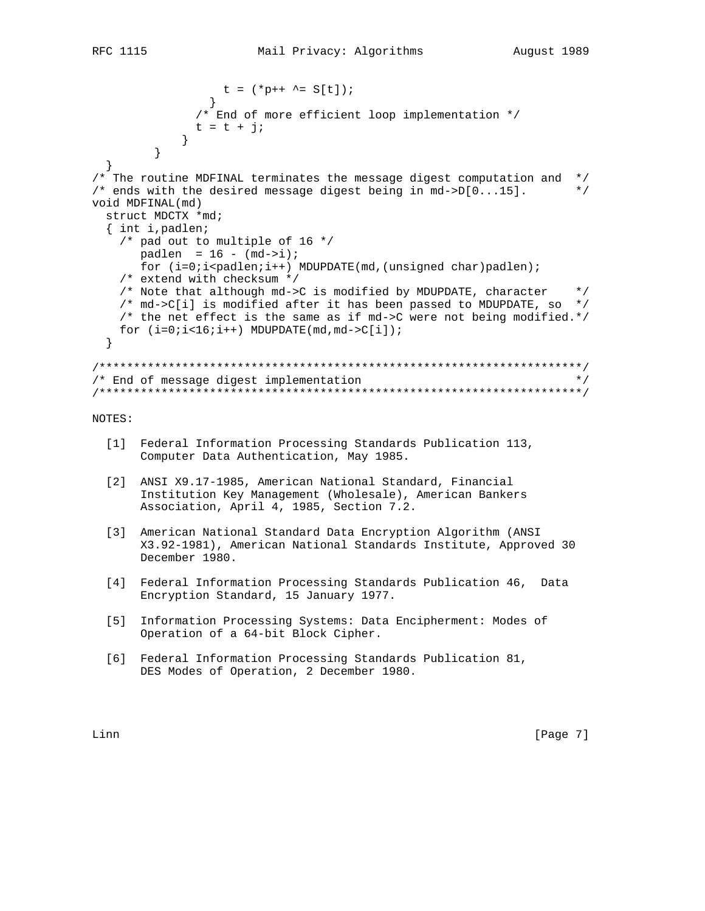```
t = (*p++ ^= S[t]);
              /* End of more efficient loop implementation */
             t = t + j;
            \}\}\}/* The routine MDFINAL terminates the message digest computation and */
/* ends with the desired message digest being in md->D[0...15].
                                                                \star /
void MDFINAL(md)
 struct MDCTX *md;
  { int i, padlen;
   /* pad out to multiple of 16 */
      padlen = 16 - (md - 5i);
      for (i=0,i<math>p</math> and len<i>i</i>++) MDUPDATE(md, (unsigned char)padlen)<i>i</i>/* extend with checksum */
   /* Note that although md->C is modified by MDUPDATE, character
                                                                 \star /
   /* md->C[i] is modified after it has been passed to MDUPDATE, so */
   /* the net effect is the same as if md->C were not being modified.*/
   for (i=0:i<16:i++) MDUPDATE(md, md->C[i]);
 \}/* End of message digest implementation
                                                                 \star /
NOTES:
 [1] Federal Information Processing Standards Publication 113,
      Computer Data Authentication, May 1985.
 [2] ANSI X9.17-1985, American National Standard, Financial
      Institution Key Management (Wholesale), American Bankers
      Association, April 4, 1985, Section 7.2.
 [3] American National Standard Data Encryption Algorithm (ANSI
      X3.92-1981), American National Standards Institute, Approved 30
      December 1980.
 [4] Federal Information Processing Standards Publication 46, Data
      Encryption Standard, 15 January 1977.
 [5] Information Processing Systems: Data Encipherment: Modes of
      Operation of a 64-bit Block Cipher.
```
[6] Federal Information Processing Standards Publication 81, DES Modes of Operation, 2 December 1980.

Linn

 $[Page 7]$